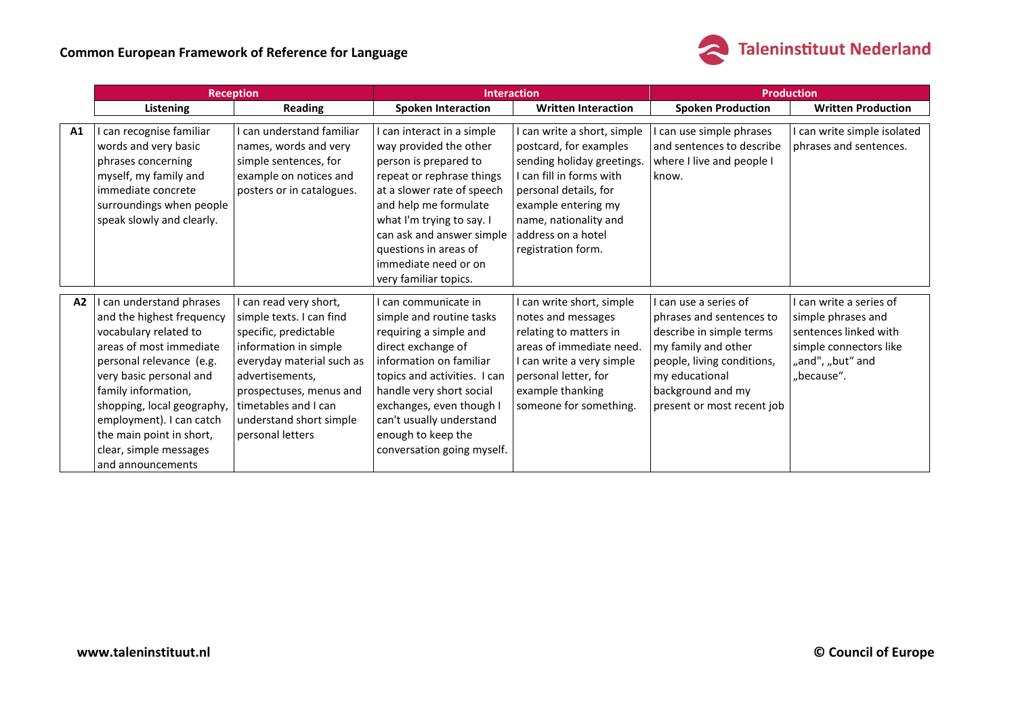

|           | <b>Reception</b>                                                                                                                                                                                                                                                                                                             |                                                                                                                                                                                                                                                        | <b>Interaction</b>                                                                                                                                                                                                                                                                                    |                                                                                                                                                                                                                                      | <b>Production</b>                                                                                                                                                                                       |                                                                                                                                    |
|-----------|------------------------------------------------------------------------------------------------------------------------------------------------------------------------------------------------------------------------------------------------------------------------------------------------------------------------------|--------------------------------------------------------------------------------------------------------------------------------------------------------------------------------------------------------------------------------------------------------|-------------------------------------------------------------------------------------------------------------------------------------------------------------------------------------------------------------------------------------------------------------------------------------------------------|--------------------------------------------------------------------------------------------------------------------------------------------------------------------------------------------------------------------------------------|---------------------------------------------------------------------------------------------------------------------------------------------------------------------------------------------------------|------------------------------------------------------------------------------------------------------------------------------------|
|           | <b>Listening</b>                                                                                                                                                                                                                                                                                                             | <b>Reading</b>                                                                                                                                                                                                                                         | <b>Spoken Interaction</b>                                                                                                                                                                                                                                                                             | <b>Written Interaction</b>                                                                                                                                                                                                           | <b>Spoken Production</b>                                                                                                                                                                                | <b>Written Production</b>                                                                                                          |
| <b>A1</b> | can recognise familiar<br>words and very basic<br>phrases concerning<br>myself, my family and<br>immediate concrete<br>surroundings when people<br>speak slowly and clearly.                                                                                                                                                 | I can understand familiar<br>names, words and very<br>simple sentences, for<br>example on notices and<br>posters or in catalogues.                                                                                                                     | I can interact in a simple<br>way provided the other<br>person is prepared to<br>repeat or rephrase things<br>at a slower rate of speech<br>and help me formulate<br>what I'm trying to say. I<br>can ask and answer simple<br>questions in areas of<br>immediate need or on<br>very familiar topics. | I can write a short, simple<br>postcard, for examples<br>sending holiday greetings.<br>I can fill in forms with<br>personal details, for<br>example entering my<br>name, nationality and<br>address on a hotel<br>registration form. | I can use simple phrases<br>and sentences to describe<br>where I live and people I<br>know.                                                                                                             | I can write simple isolated<br>phrases and sentences.                                                                              |
| A2        | I can understand phrases<br>and the highest frequency<br>vocabulary related to<br>areas of most immediate<br>personal relevance (e.g.<br>very basic personal and<br>family information,<br>shopping, local geography,<br>employment). I can catch<br>the main point in short,<br>clear, simple messages<br>and announcements | I can read very short,<br>simple texts. I can find<br>specific, predictable<br>information in simple<br>everyday material such as<br>advertisements,<br>prospectuses, menus and<br>timetables and I can<br>understand short simple<br>personal letters | I can communicate in<br>simple and routine tasks<br>requiring a simple and<br>direct exchange of<br>information on familiar<br>topics and activities. I can<br>handle very short social<br>exchanges, even though I<br>can't usually understand<br>enough to keep the<br>conversation going myself.   | I can write short, simple<br>notes and messages<br>relating to matters in<br>areas of immediate need.<br>I can write a very simple<br>personal letter, for<br>example thanking<br>someone for something.                             | I can use a series of<br>phrases and sentences to<br>describe in simple terms<br>my family and other<br>people, living conditions,<br>my educational<br>background and my<br>present or most recent job | I can write a series of<br>simple phrases and<br>sentences linked with<br>simple connectors like<br>"and", "but" and<br>"because". |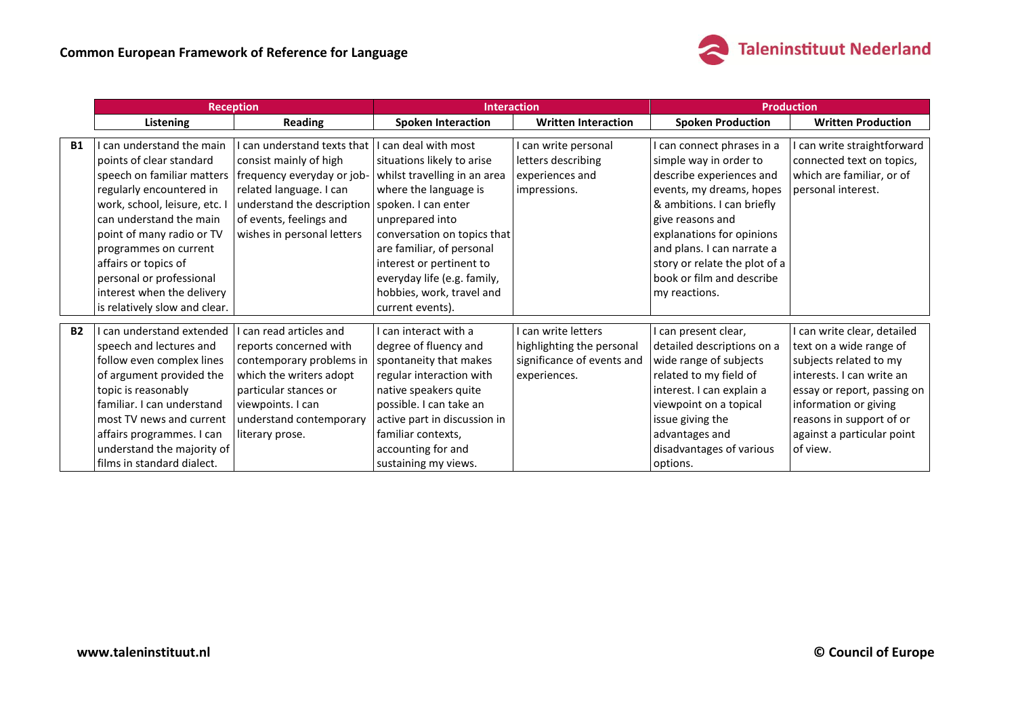

|           | <b>Reception</b>                                                                                                                                                                                                                                                                      |                                                                                                                                                                                                     | <b>Interaction</b>                                                                                                                                                                                                                                           |                                                                                                | <b>Production</b>                                                                                                                                                                                                                           |                                                                                                                                                                                                                                             |
|-----------|---------------------------------------------------------------------------------------------------------------------------------------------------------------------------------------------------------------------------------------------------------------------------------------|-----------------------------------------------------------------------------------------------------------------------------------------------------------------------------------------------------|--------------------------------------------------------------------------------------------------------------------------------------------------------------------------------------------------------------------------------------------------------------|------------------------------------------------------------------------------------------------|---------------------------------------------------------------------------------------------------------------------------------------------------------------------------------------------------------------------------------------------|---------------------------------------------------------------------------------------------------------------------------------------------------------------------------------------------------------------------------------------------|
|           | Listening                                                                                                                                                                                                                                                                             | <b>Reading</b>                                                                                                                                                                                      | <b>Spoken Interaction</b>                                                                                                                                                                                                                                    | <b>Written Interaction</b>                                                                     | <b>Spoken Production</b>                                                                                                                                                                                                                    | <b>Written Production</b>                                                                                                                                                                                                                   |
| <b>B1</b> | can understand the main<br>points of clear standard<br>speech on familiar matters<br>regularly encountered in<br>work, school, leisure, etc.<br>can understand the main<br>point of many radio or TV                                                                                  | can understand texts that<br>consist mainly of high<br>frequency everyday or job-<br>related language. I can<br>understand the description<br>of events, feelings and<br>wishes in personal letters | I can deal with most<br>situations likely to arise<br>whilst travelling in an area<br>where the language is<br>spoken. I can enter<br>unprepared into<br>conversation on topics that                                                                         | I can write personal<br>letters describing<br>experiences and<br>impressions.                  | I can connect phrases in a<br>simple way in order to<br>describe experiences and<br>events, my dreams, hopes<br>& ambitions. I can briefly<br>give reasons and<br>explanations for opinions                                                 | I can write straightforward<br>connected text on topics,<br>which are familiar, or of<br>personal interest.                                                                                                                                 |
|           | programmes on current<br>affairs or topics of<br>personal or professional<br>interest when the delivery<br>is relatively slow and clear.                                                                                                                                              |                                                                                                                                                                                                     | are familiar, of personal<br>interest or pertinent to<br>everyday life (e.g. family,<br>hobbies, work, travel and<br>current events).                                                                                                                        |                                                                                                | and plans. I can narrate a<br>story or relate the plot of a<br>book or film and describe<br>my reactions.                                                                                                                                   |                                                                                                                                                                                                                                             |
| <b>B2</b> | can understand extended<br>speech and lectures and<br>follow even complex lines<br>of argument provided the<br>topic is reasonably<br>familiar. I can understand<br>most TV news and current<br>affairs programmes. I can<br>understand the majority of<br>films in standard dialect. | can read articles and<br>reports concerned with<br>contemporary problems in<br>which the writers adopt<br>particular stances or<br>viewpoints. I can<br>understand contemporary<br>literary prose.  | I can interact with a<br>degree of fluency and<br>spontaneity that makes<br>regular interaction with<br>native speakers quite<br>possible. I can take an<br>active part in discussion in<br>familiar contexts,<br>accounting for and<br>sustaining my views. | I can write letters<br>highlighting the personal<br>significance of events and<br>experiences. | I can present clear,<br>detailed descriptions on a<br>wide range of subjects<br>related to my field of<br>interest. I can explain a<br>viewpoint on a topical<br>issue giving the<br>advantages and<br>disadvantages of various<br>options. | I can write clear, detailed<br>text on a wide range of<br>subjects related to my<br>interests. I can write an<br>essay or report, passing on<br>information or giving<br>reasons in support of or<br>against a particular point<br>of view. |